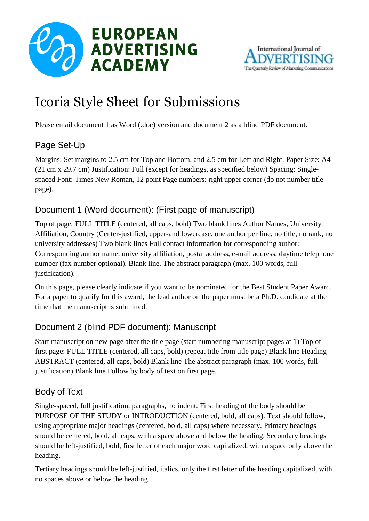



# Icoria Style Sheet for Submissions

Please email document 1 as Word (.doc) version and document 2 as a blind PDF document.

## Page Set-Up

Margins: Set margins to 2.5 cm for Top and Bottom, and 2.5 cm for Left and Right. Paper Size: A4 (21 cm x 29.7 cm) Justification: Full (except for headings, as specified below) Spacing: Singlespaced Font: Times New Roman, 12 point Page numbers: right upper corner (do not number title page).

## Document 1 (Word document): (First page of manuscript)

Top of page: FULL TITLE (centered, all caps, bold) Two blank lines Author Names, University Affiliation, Country (Center-justified, upper-and lowercase, one author per line, no title, no rank, no university addresses) Two blank lines Full contact information for corresponding author: Corresponding author name, university affiliation, postal address, e-mail address, daytime telephone number (fax number optional). Blank line. The abstract paragraph (max. 100 words, full justification).

On this page, please clearly indicate if you want to be nominated for the Best Student Paper Award. For a paper to qualify for this award, the lead author on the paper must be a Ph.D. candidate at the time that the manuscript is submitted.

### Document 2 (blind PDF document): Manuscript

Start manuscript on new page after the title page (start numbering manuscript pages at 1) Top of first page: FULL TITLE (centered, all caps, bold) (repeat title from title page) Blank line Heading - ABSTRACT (centered, all caps, bold) Blank line The abstract paragraph (max. 100 words, full justification) Blank line Follow by body of text on first page.

#### Body of Text

Single-spaced, full justification, paragraphs, no indent. First heading of the body should be PURPOSE OF THE STUDY or INTRODUCTION (centered, bold, all caps). Text should follow, using appropriate major headings (centered, bold, all caps) where necessary. Primary headings should be centered, bold, all caps, with a space above and below the heading. Secondary headings should be left-justified, bold, first letter of each major word capitalized, with a space only above the heading.

Tertiary headings should be left-justified, italics, only the first letter of the heading capitalized, with no spaces above or below the heading.